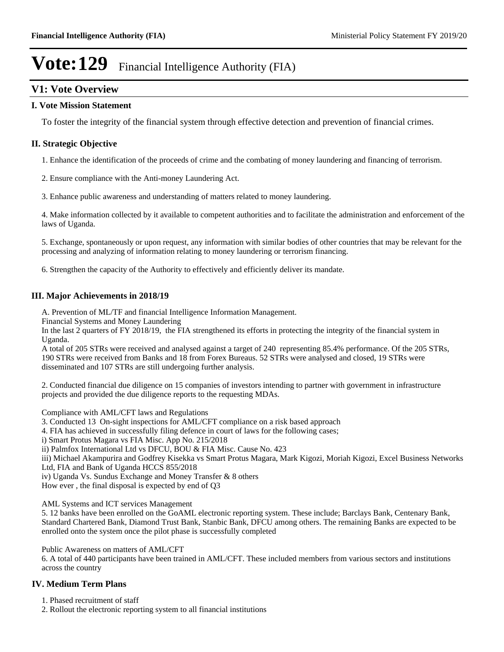#### **V1: Vote Overview**

#### **I. Vote Mission Statement**

To foster the integrity of the financial system through effective detection and prevention of financial crimes.

#### **II. Strategic Objective**

1. Enhance the identification of the proceeds of crime and the combating of money laundering and financing of terrorism.

2. Ensure compliance with the Anti-money Laundering Act.

3. Enhance public awareness and understanding of matters related to money laundering.

4. Make information collected by it available to competent authorities and to facilitate the administration and enforcement of the laws of Uganda.

5. Exchange, spontaneously or upon request, any information with similar bodies of other countries that may be relevant for the processing and analyzing of information relating to money laundering or terrorism financing.

6. Strengthen the capacity of the Authority to effectively and efficiently deliver its mandate.

#### **III. Major Achievements in 2018/19**

A. Prevention of ML/TF and financial Intelligence Information Management.

Financial Systems and Money Laundering

In the last 2 quarters of FY 2018/19, the FIA strengthened its efforts in protecting the integrity of the financial system in Uganda.

A total of 205 STRs were received and analysed against a target of 240 representing 85.4% performance. Of the 205 STRs, 190 STRs were received from Banks and 18 from Forex Bureaus. 52 STRs were analysed and closed, 19 STRs were disseminated and 107 STRs are still undergoing further analysis.

2. Conducted financial due diligence on 15 companies of investors intending to partner with government in infrastructure projects and provided the due diligence reports to the requesting MDAs.

Compliance with AML/CFT laws and Regulations

3. Conducted 13 On-sight inspections for AML/CFT compliance on a risk based approach

4. FIA has achieved in successfully filing defence in court of laws for the following cases;

i) Smart Protus Magara vs FIA Misc. App No. 215/2018

ii) Palmfox International Ltd vs DFCU, BOU & FIA Misc. Cause No. 423

iii) Michael Akampurira and Godfrey Kisekka vs Smart Protus Magara, Mark Kigozi, Moriah Kigozi, Excel Business Networks Ltd, FIA and Bank of Uganda HCCS 855/2018

iv) Uganda Vs. Sundus Exchange and Money Transfer & 8 others

How ever , the final disposal is expected by end of Q3

AML Systems and ICT services Management

5. 12 banks have been enrolled on the GoAML electronic reporting system. These include; Barclays Bank, Centenary Bank, Standard Chartered Bank, Diamond Trust Bank, Stanbic Bank, DFCU among others. The remaining Banks are expected to be enrolled onto the system once the pilot phase is successfully completed

Public Awareness on matters of AML/CFT

6. A total of 440 participants have been trained in AML/CFT. These included members from various sectors and institutions across the country

#### **IV. Medium Term Plans**

1. Phased recruitment of staff

2. Rollout the electronic reporting system to all financial institutions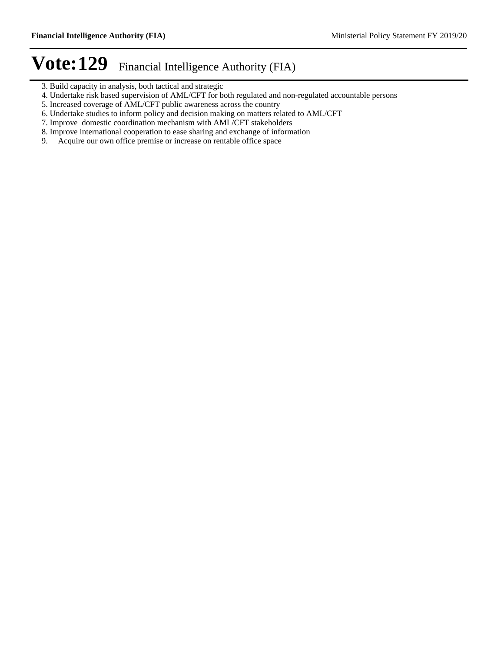- 3. Build capacity in analysis, both tactical and strategic
- 4. Undertake risk based supervision of AML/CFT for both regulated and non-regulated accountable persons
- 5. Increased coverage of AML/CFT public awareness across the country
- 6. Undertake studies to inform policy and decision making on matters related to AML/CFT
- 7. Improve domestic coordination mechanism with AML/CFT stakeholders
- 8. Improve international cooperation to ease sharing and exchange of information
- 9. Acquire our own office premise or increase on rentable office space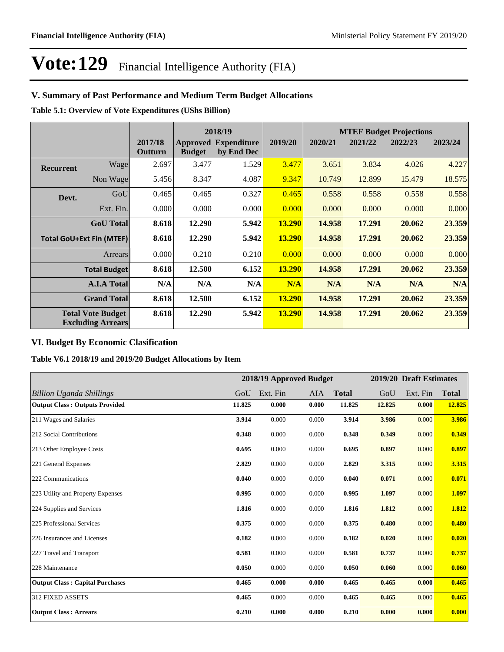#### **V. Summary of Past Performance and Medium Term Budget Allocations**

**Table 5.1: Overview of Vote Expenditures (UShs Billion)**

|                  |                                                      |                    | 2018/19       |                                           |               |         |         | <b>MTEF Budget Projections</b> |         |
|------------------|------------------------------------------------------|--------------------|---------------|-------------------------------------------|---------------|---------|---------|--------------------------------|---------|
|                  |                                                      | 2017/18<br>Outturn | <b>Budget</b> | <b>Approved Expenditure</b><br>by End Dec | 2019/20       | 2020/21 | 2021/22 | 2022/23                        | 2023/24 |
| <b>Recurrent</b> | Wage                                                 | 2.697              | 3.477         | 1.529                                     | 3.477         | 3.651   | 3.834   | 4.026                          | 4.227   |
|                  | Non Wage                                             | 5.456              | 8.347         | 4.087                                     | 9.347         | 10.749  | 12.899  | 15.479                         | 18.575  |
| Devt.            | GoU                                                  | 0.465              | 0.465         | 0.327                                     | 0.465         | 0.558   | 0.558   | 0.558                          | 0.558   |
|                  | Ext. Fin.                                            | 0.000              | 0.000         | 0.000                                     | 0.000         | 0.000   | 0.000   | 0.000                          | 0.000   |
|                  | <b>GoU</b> Total                                     | 8.618              | 12.290        | 5.942                                     | 13.290        | 14.958  | 17.291  | 20.062                         | 23.359  |
|                  | <b>Total GoU+Ext Fin (MTEF)</b>                      | 8.618              | 12.290        | 5.942                                     | <b>13.290</b> | 14.958  | 17.291  | 20.062                         | 23.359  |
|                  | <b>Arrears</b>                                       | 0.000              | 0.210         | 0.210                                     | 0.000         | 0.000   | 0.000   | 0.000                          | 0.000   |
|                  | <b>Total Budget</b>                                  | 8.618              | 12.500        | 6.152                                     | <b>13.290</b> | 14.958  | 17.291  | 20.062                         | 23.359  |
|                  | <b>A.I.A Total</b>                                   | N/A                | N/A           | N/A                                       | N/A           | N/A     | N/A     | N/A                            | N/A     |
|                  | <b>Grand Total</b>                                   | 8.618              | 12.500        | 6.152                                     | <b>13.290</b> | 14.958  | 17.291  | 20.062                         | 23.359  |
|                  | <b>Total Vote Budget</b><br><b>Excluding Arrears</b> | 8.618              | 12.290        | 5.942                                     | <b>13.290</b> | 14.958  | 17.291  | 20.062                         | 23.359  |

#### **VI. Budget By Economic Clasification**

**Table V6.1 2018/19 and 2019/20 Budget Allocations by Item**

|                                        |        | 2018/19 Approved Budget |            |              |        | 2019/20 Draft Estimates |              |
|----------------------------------------|--------|-------------------------|------------|--------------|--------|-------------------------|--------------|
| Billion Uganda Shillings               | GoU    | Ext. Fin                | <b>AIA</b> | <b>Total</b> | GoU    | Ext. Fin                | <b>Total</b> |
| <b>Output Class: Outputs Provided</b>  | 11.825 | 0.000                   | 0.000      | 11.825       | 12.825 | 0.000                   | 12.825       |
| 211 Wages and Salaries                 | 3.914  | 0.000                   | 0.000      | 3.914        | 3.986  | 0.000                   | 3.986        |
| 212 Social Contributions               | 0.348  | 0.000                   | 0.000      | 0.348        | 0.349  | 0.000                   | 0.349        |
| 213 Other Employee Costs               | 0.695  | 0.000                   | 0.000      | 0.695        | 0.897  | 0.000                   | 0.897        |
| 221 General Expenses                   | 2.829  | 0.000                   | 0.000      | 2.829        | 3.315  | 0.000                   | 3.315        |
| 222 Communications                     | 0.040  | 0.000                   | 0.000      | 0.040        | 0.071  | 0.000                   | 0.071        |
| 223 Utility and Property Expenses      | 0.995  | 0.000                   | 0.000      | 0.995        | 1.097  | 0.000                   | 1.097        |
| 224 Supplies and Services              | 1.816  | 0.000                   | 0.000      | 1.816        | 1.812  | 0.000                   | 1.812        |
| 225 Professional Services              | 0.375  | 0.000                   | 0.000      | 0.375        | 0.480  | 0.000                   | 0.480        |
| 226 Insurances and Licenses            | 0.182  | 0.000                   | 0.000      | 0.182        | 0.020  | 0.000                   | 0.020        |
| 227 Travel and Transport               | 0.581  | 0.000                   | 0.000      | 0.581        | 0.737  | 0.000                   | 0.737        |
| 228 Maintenance                        | 0.050  | 0.000                   | 0.000      | 0.050        | 0.060  | 0.000                   | 0.060        |
| <b>Output Class: Capital Purchases</b> | 0.465  | 0.000                   | 0.000      | 0.465        | 0.465  | 0.000                   | 0.465        |
| <b>312 FIXED ASSETS</b>                | 0.465  | 0.000                   | 0.000      | 0.465        | 0.465  | 0.000                   | 0.465        |
| <b>Output Class: Arrears</b>           | 0.210  | 0.000                   | 0.000      | 0.210        | 0.000  | 0.000                   | 0.000        |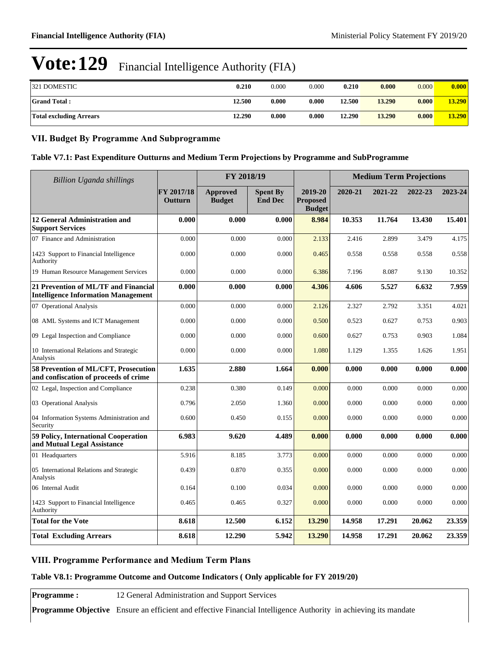| 321 DOMESTIC            | 0.210  | 0.000 | 0.000 | 0.210  | 0.000  | 0.000 | 0.000  |
|-------------------------|--------|-------|-------|--------|--------|-------|--------|
| <b>Grand Total:</b>     | 12.500 | 0.000 | 0.000 | 12.500 | 13.290 | 0.000 | 13.290 |
| Total excluding Arrears | 12.290 | 0.000 | 0.000 | 12.290 | 13.290 | 0.000 | 13.290 |

#### **VII. Budget By Programme And Subprogramme**

#### **Table V7.1: Past Expenditure Outturns and Medium Term Projections by Programme and SubProgramme**

| <b>Billion Uganda shillings</b>                                                    |                       | FY 2018/19                       |                                   |                                             | <b>Medium Term Projections</b> |         |         |         |
|------------------------------------------------------------------------------------|-----------------------|----------------------------------|-----------------------------------|---------------------------------------------|--------------------------------|---------|---------|---------|
|                                                                                    | FY 2017/18<br>Outturn | <b>Approved</b><br><b>Budget</b> | <b>Spent By</b><br><b>End Dec</b> | 2019-20<br><b>Proposed</b><br><b>Budget</b> | 2020-21                        | 2021-22 | 2022-23 | 2023-24 |
| <b>12 General Administration and</b><br><b>Support Services</b>                    | 0.000                 | 0.000                            | 0.000                             | 8.984                                       | 10.353                         | 11.764  | 13.430  | 15.401  |
| 07 Finance and Administration                                                      | 0.000                 | 0.000                            | 0.000                             | 2.133                                       | 2.416                          | 2.899   | 3.479   | 4.175   |
| 1423 Support to Financial Intelligence<br>Authority                                | 0.000                 | 0.000                            | 0.000                             | 0.465                                       | 0.558                          | 0.558   | 0.558   | 0.558   |
| 19 Human Resource Management Services                                              | 0.000                 | 0.000                            | 0.000                             | 6.386                                       | 7.196                          | 8.087   | 9.130   | 10.352  |
| 21 Prevention of ML/TF and Financial<br><b>Intelligence Information Management</b> | 0.000                 | 0.000                            | 0.000                             | 4.306                                       | 4.606                          | 5.527   | 6.632   | 7.959   |
| 07 Operational Analysis                                                            | 0.000                 | 0.000                            | 0.000                             | 2.126                                       | 2.327                          | 2.792   | 3.351   | 4.021   |
| 08 AML Systems and ICT Management                                                  | 0.000                 | 0.000                            | 0.000                             | 0.500                                       | 0.523                          | 0.627   | 0.753   | 0.903   |
| 09 Legal Inspection and Compliance                                                 | 0.000                 | 0.000                            | 0.000                             | 0.600                                       | 0.627                          | 0.753   | 0.903   | 1.084   |
| 10 International Relations and Strategic<br>Analysis                               | 0.000                 | 0.000                            | 0.000                             | 1.080                                       | 1.129                          | 1.355   | 1.626   | 1.951   |
| 58 Prevention of ML/CFT, Prosecution<br>and confiscation of proceeds of crime      | 1.635                 | 2.880                            | 1.664                             | 0.000                                       | 0.000                          | 0.000   | 0.000   | 0.000   |
| 02 Legal, Inspection and Compliance                                                | 0.238                 | 0.380                            | 0.149                             | 0.000                                       | 0.000                          | 0.000   | 0.000   | 0.000   |
| 03 Operational Analysis                                                            | 0.796                 | 2.050                            | 1.360                             | 0.000                                       | 0.000                          | 0.000   | 0.000   | 0.000   |
| 04 Information Systems Administration and<br>Security                              | 0.600                 | 0.450                            | 0.155                             | 0.000                                       | 0.000                          | 0.000   | 0.000   | 0.000   |
| 59 Policy, International Cooperation<br>and Mutual Legal Assistance                | 6.983                 | 9.620                            | 4.489                             | 0.000                                       | 0.000                          | 0.000   | 0.000   | 0.000   |
| 01 Headquarters                                                                    | 5.916                 | 8.185                            | 3.773                             | 0.000                                       | 0.000                          | 0.000   | 0.000   | 0.000   |
| 05 International Relations and Strategic<br>Analysis                               | 0.439                 | 0.870                            | 0.355                             | 0.000                                       | 0.000                          | 0.000   | 0.000   | 0.000   |
| 06 Internal Audit                                                                  | 0.164                 | 0.100                            | 0.034                             | 0.000                                       | 0.000                          | 0.000   | 0.000   | 0.000   |
| 1423 Support to Financial Intelligence<br>Authority                                | 0.465                 | 0.465                            | 0.327                             | 0.000                                       | 0.000                          | 0.000   | 0.000   | 0.000   |
| <b>Total for the Vote</b>                                                          | 8.618                 | 12.500                           | 6.152                             | 13.290                                      | 14.958                         | 17.291  | 20.062  | 23.359  |
| <b>Total Excluding Arrears</b>                                                     | 8.618                 | 12.290                           | 5.942                             | 13.290                                      | 14.958                         | 17.291  | 20.062  | 23.359  |

#### **VIII. Programme Performance and Medium Term Plans**

#### **Table V8.1: Programme Outcome and Outcome Indicators ( Only applicable for FY 2019/20)**

**Programme :** 12 General Administration and Support Services

**Programme Objective** Ensure an efficient and effective Financial Intelligence Authority in achieving its mandate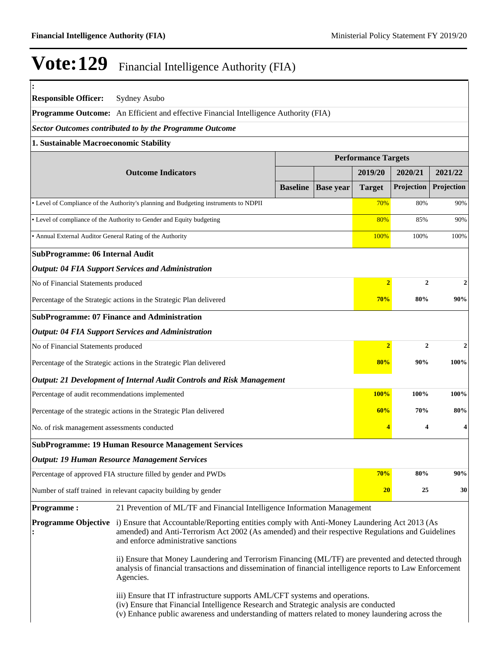| <b>Responsible Officer:</b>                               | Sydney Asubo                                                                                                                                                                                                                                                             |                 |                  |                            |                       |                       |
|-----------------------------------------------------------|--------------------------------------------------------------------------------------------------------------------------------------------------------------------------------------------------------------------------------------------------------------------------|-----------------|------------------|----------------------------|-----------------------|-----------------------|
|                                                           | <b>Programme Outcome:</b> An Efficient and effective Financial Intelligence Authority (FIA)                                                                                                                                                                              |                 |                  |                            |                       |                       |
|                                                           | <b>Sector Outcomes contributed to by the Programme Outcome</b>                                                                                                                                                                                                           |                 |                  |                            |                       |                       |
| 1. Sustainable Macroeconomic Stability                    |                                                                                                                                                                                                                                                                          |                 |                  |                            |                       |                       |
|                                                           |                                                                                                                                                                                                                                                                          |                 |                  | <b>Performance Targets</b> |                       |                       |
|                                                           | <b>Outcome Indicators</b>                                                                                                                                                                                                                                                | <b>Baseline</b> | <b>Base year</b> | 2019/20<br><b>Target</b>   | 2020/21<br>Projection | 2021/22<br>Projection |
|                                                           | • Level of Compliance of the Authority's planning and Budgeting instruments to NDPII                                                                                                                                                                                     |                 |                  | 70%                        | 80%                   | 90%                   |
|                                                           | • Level of compliance of the Authority to Gender and Equity budgeting                                                                                                                                                                                                    |                 |                  | 80%                        | 85%                   | 90%                   |
| • Annual External Auditor General Rating of the Authority |                                                                                                                                                                                                                                                                          |                 |                  | 100%                       | 100%                  | 100%                  |
| <b>SubProgramme: 06 Internal Audit</b>                    |                                                                                                                                                                                                                                                                          |                 |                  |                            |                       |                       |
|                                                           | <b>Output: 04 FIA Support Services and Administration</b>                                                                                                                                                                                                                |                 |                  |                            |                       |                       |
| No of Financial Statements produced                       |                                                                                                                                                                                                                                                                          |                 |                  | $\overline{2}$             | $\overline{2}$        | 2                     |
|                                                           | Percentage of the Strategic actions in the Strategic Plan delivered                                                                                                                                                                                                      |                 |                  | 70%                        | 80%                   | 90%                   |
|                                                           | <b>SubProgramme: 07 Finance and Administration</b>                                                                                                                                                                                                                       |                 |                  |                            |                       |                       |
|                                                           | <b>Output: 04 FIA Support Services and Administration</b>                                                                                                                                                                                                                |                 |                  |                            |                       |                       |
| No of Financial Statements produced                       |                                                                                                                                                                                                                                                                          |                 |                  | $\overline{2}$             | $\overline{2}$        | $\overline{2}$        |
|                                                           | Percentage of the Strategic actions in the Strategic Plan delivered                                                                                                                                                                                                      |                 |                  | 80%                        | 90%                   | 100%                  |
|                                                           | <b>Output: 21 Development of Internal Audit Controls and Risk Management</b>                                                                                                                                                                                             |                 |                  |                            |                       |                       |
| Percentage of audit recommendations implemented           |                                                                                                                                                                                                                                                                          |                 |                  | <b>100%</b>                | 100%                  | 100%                  |
|                                                           | Percentage of the strategic actions in the Strategic Plan delivered                                                                                                                                                                                                      |                 |                  | 60%                        | 70%                   | 80%                   |
| No. of risk management assessments conducted              |                                                                                                                                                                                                                                                                          |                 |                  | 4                          | 4                     | 4                     |
|                                                           | <b>SubProgramme: 19 Human Resource Management Services</b>                                                                                                                                                                                                               |                 |                  |                            |                       |                       |
|                                                           | <b>Output: 19 Human Resource Management Services</b>                                                                                                                                                                                                                     |                 |                  |                            |                       |                       |
|                                                           | Percentage of approved FIA structure filled by gender and PWDs                                                                                                                                                                                                           |                 |                  | 70%                        | 80%                   | 90%                   |
|                                                           | Number of staff trained in relevant capacity building by gender                                                                                                                                                                                                          |                 |                  | 20                         | 25                    | 30                    |
| <b>Programme:</b>                                         | 21 Prevention of ML/TF and Financial Intelligence Information Management                                                                                                                                                                                                 |                 |                  |                            |                       |                       |
| <b>Programme Objective</b>                                | i) Ensure that Accountable/Reporting entities comply with Anti-Money Laundering Act 2013 (As<br>amended) and Anti-Terrorism Act 2002 (As amended) and their respective Regulations and Guidelines<br>and enforce administrative sanctions                                |                 |                  |                            |                       |                       |
|                                                           | ii) Ensure that Money Laundering and Terrorism Financing (ML/TF) are prevented and detected through<br>analysis of financial transactions and dissemination of financial intelligence reports to Law Enforcement<br>Agencies.                                            |                 |                  |                            |                       |                       |
|                                                           | iii) Ensure that IT infrastructure supports AML/CFT systems and operations.<br>(iv) Ensure that Financial Intelligence Research and Strategic analysis are conducted<br>(v) Enhance public awareness and understanding of matters related to money laundering across the |                 |                  |                            |                       |                       |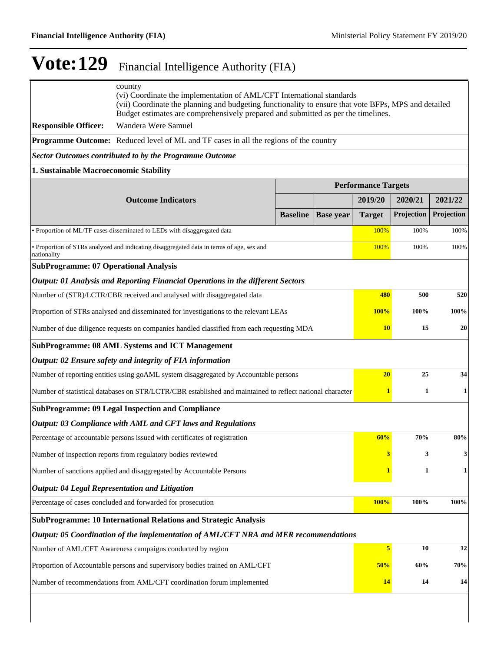|                                                                                     | country<br>(vi) Coordinate the implementation of AML/CFT International standards<br>(vii) Coordinate the planning and budgeting functionality to ensure that vote BFPs, MPS and detailed<br>Budget estimates are comprehensively prepared and submitted as per the timelines. |                 |                  |                            |            |              |  |  |  |  |
|-------------------------------------------------------------------------------------|-------------------------------------------------------------------------------------------------------------------------------------------------------------------------------------------------------------------------------------------------------------------------------|-----------------|------------------|----------------------------|------------|--------------|--|--|--|--|
| <b>Responsible Officer:</b>                                                         | Wandera Were Samuel                                                                                                                                                                                                                                                           |                 |                  |                            |            |              |  |  |  |  |
|                                                                                     | <b>Programme Outcome:</b> Reduced level of ML and TF cases in all the regions of the country                                                                                                                                                                                  |                 |                  |                            |            |              |  |  |  |  |
|                                                                                     | <b>Sector Outcomes contributed to by the Programme Outcome</b>                                                                                                                                                                                                                |                 |                  |                            |            |              |  |  |  |  |
| 1. Sustainable Macroeconomic Stability                                              |                                                                                                                                                                                                                                                                               |                 |                  |                            |            |              |  |  |  |  |
|                                                                                     |                                                                                                                                                                                                                                                                               |                 |                  | <b>Performance Targets</b> |            |              |  |  |  |  |
|                                                                                     | <b>Outcome Indicators</b>                                                                                                                                                                                                                                                     |                 |                  | 2019/20                    | 2020/21    | 2021/22      |  |  |  |  |
|                                                                                     |                                                                                                                                                                                                                                                                               | <b>Baseline</b> | <b>Base year</b> | <b>Target</b>              | Projection | Projection   |  |  |  |  |
|                                                                                     | • Proportion of ML/TF cases disseminated to LEDs with disaggregated data                                                                                                                                                                                                      |                 |                  | 100%                       | 100%       | 100%         |  |  |  |  |
| nationality                                                                         | • Proportion of STRs analyzed and indicating disaggregated data in terms of age, sex and                                                                                                                                                                                      |                 |                  | 100%                       | 100%       | 100%         |  |  |  |  |
| <b>SubProgramme: 07 Operational Analysis</b>                                        |                                                                                                                                                                                                                                                                               |                 |                  |                            |            |              |  |  |  |  |
|                                                                                     | Output: 01 Analysis and Reporting Financial Operations in the different Sectors                                                                                                                                                                                               |                 |                  |                            |            |              |  |  |  |  |
|                                                                                     | Number of (STR)/LCTR/CBR received and analysed with disaggregated data                                                                                                                                                                                                        |                 |                  | 480                        | 500        | 520          |  |  |  |  |
|                                                                                     | Proportion of STRs analysed and disseminated for investigations to the relevant LEAs                                                                                                                                                                                          |                 |                  | 100%                       | 100%       | 100%         |  |  |  |  |
|                                                                                     | Number of due diligence requests on companies handled classified from each requesting MDA                                                                                                                                                                                     |                 |                  | <b>10</b>                  | 15         | 20           |  |  |  |  |
|                                                                                     | <b>SubProgramme: 08 AML Systems and ICT Management</b>                                                                                                                                                                                                                        |                 |                  |                            |            |              |  |  |  |  |
|                                                                                     | Output: 02 Ensure safety and integrity of FIA information                                                                                                                                                                                                                     |                 |                  |                            |            |              |  |  |  |  |
|                                                                                     | Number of reporting entities using goAML system disaggregated by Accountable persons                                                                                                                                                                                          |                 |                  | 20                         | 25         | 34           |  |  |  |  |
|                                                                                     | Number of statistical databases on STR/LCTR/CBR established and maintained to reflect national character                                                                                                                                                                      |                 |                  | $\mathbf{1}$               | 1          | $\mathbf{1}$ |  |  |  |  |
|                                                                                     | <b>SubProgramme: 09 Legal Inspection and Compliance</b>                                                                                                                                                                                                                       |                 |                  |                            |            |              |  |  |  |  |
|                                                                                     | Output: 03 Compliance with AML and CFT laws and Regulations                                                                                                                                                                                                                   |                 |                  |                            |            |              |  |  |  |  |
|                                                                                     | Percentage of accountable persons issued with certificates of registration                                                                                                                                                                                                    |                 |                  | 60%                        | 70%        | 80%          |  |  |  |  |
|                                                                                     | Number of inspection reports from regulatory bodies reviewed                                                                                                                                                                                                                  |                 |                  | 3                          | 3          | $\mathbf{3}$ |  |  |  |  |
|                                                                                     | Number of sanctions applied and disaggregated by Accountable Persons                                                                                                                                                                                                          |                 |                  |                            | 1          | $\mathbf{1}$ |  |  |  |  |
|                                                                                     | Output: 04 Legal Representation and Litigation                                                                                                                                                                                                                                |                 |                  |                            |            |              |  |  |  |  |
| 100%<br>100%<br>100%<br>Percentage of cases concluded and forwarded for prosecution |                                                                                                                                                                                                                                                                               |                 |                  |                            |            |              |  |  |  |  |
|                                                                                     | SubProgramme: 10 International Relations and Strategic Analysis                                                                                                                                                                                                               |                 |                  |                            |            |              |  |  |  |  |
|                                                                                     | Output: 05 Coordination of the implementation of AML/CFT NRA and MER recommendations                                                                                                                                                                                          |                 |                  |                            |            |              |  |  |  |  |
|                                                                                     | Number of AML/CFT Awareness campaigns conducted by region                                                                                                                                                                                                                     |                 |                  | 5                          | 10         | 12           |  |  |  |  |
|                                                                                     | Proportion of Accountable persons and supervisory bodies trained on AML/CFT                                                                                                                                                                                                   |                 |                  | 50%                        | 60%        | 70%          |  |  |  |  |
|                                                                                     | Number of recommendations from AML/CFT coordination forum implemented                                                                                                                                                                                                         |                 |                  | <b>14</b>                  | 14         | 14           |  |  |  |  |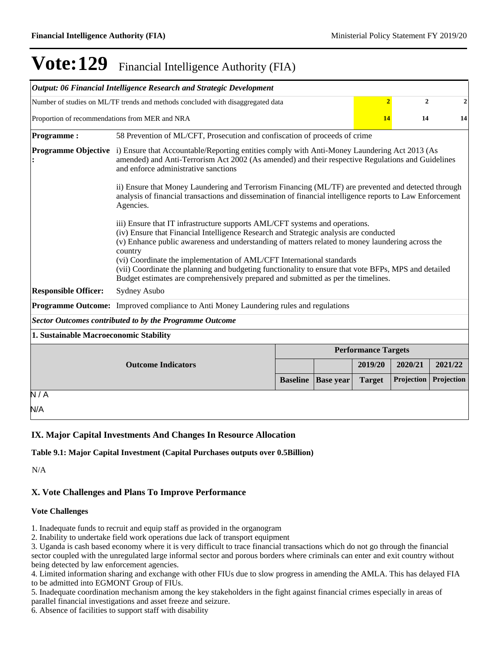|                                                                                                   | Output: 06 Financial Intelligence Research and Strategic Development                                                                                                                                                                                                                                                                                                                                                                                                                                                                                      |                                                                                                                                                                                                   |  |                            |         |         |  |  |  |  |
|---------------------------------------------------------------------------------------------------|-----------------------------------------------------------------------------------------------------------------------------------------------------------------------------------------------------------------------------------------------------------------------------------------------------------------------------------------------------------------------------------------------------------------------------------------------------------------------------------------------------------------------------------------------------------|---------------------------------------------------------------------------------------------------------------------------------------------------------------------------------------------------|--|----------------------------|---------|---------|--|--|--|--|
| $\overline{2}$<br>Number of studies on ML/TF trends and methods concluded with disaggregated data |                                                                                                                                                                                                                                                                                                                                                                                                                                                                                                                                                           |                                                                                                                                                                                                   |  |                            |         |         |  |  |  |  |
| Proportion of recommendations from MER and NRA                                                    |                                                                                                                                                                                                                                                                                                                                                                                                                                                                                                                                                           |                                                                                                                                                                                                   |  | 14                         | 14      | 14      |  |  |  |  |
| <b>Programme:</b>                                                                                 |                                                                                                                                                                                                                                                                                                                                                                                                                                                                                                                                                           | 58 Prevention of ML/CFT, Prosecution and confiscation of proceeds of crime                                                                                                                        |  |                            |         |         |  |  |  |  |
| <b>Programme Objective</b>                                                                        | and enforce administrative sanctions                                                                                                                                                                                                                                                                                                                                                                                                                                                                                                                      | i) Ensure that Accountable/Reporting entities comply with Anti-Money Laundering Act 2013 (As<br>amended) and Anti-Terrorism Act 2002 (As amended) and their respective Regulations and Guidelines |  |                            |         |         |  |  |  |  |
|                                                                                                   | ii) Ensure that Money Laundering and Terrorism Financing (ML/TF) are prevented and detected through<br>analysis of financial transactions and dissemination of financial intelligence reports to Law Enforcement<br>Agencies.                                                                                                                                                                                                                                                                                                                             |                                                                                                                                                                                                   |  |                            |         |         |  |  |  |  |
|                                                                                                   | iii) Ensure that IT infrastructure supports AML/CFT systems and operations.<br>(iv) Ensure that Financial Intelligence Research and Strategic analysis are conducted<br>(v) Enhance public awareness and understanding of matters related to money laundering across the<br>country<br>(vi) Coordinate the implementation of AML/CFT International standards<br>(vii) Coordinate the planning and budgeting functionality to ensure that vote BFPs, MPS and detailed<br>Budget estimates are comprehensively prepared and submitted as per the timelines. |                                                                                                                                                                                                   |  |                            |         |         |  |  |  |  |
| <b>Responsible Officer:</b>                                                                       | Sydney Asubo                                                                                                                                                                                                                                                                                                                                                                                                                                                                                                                                              |                                                                                                                                                                                                   |  |                            |         |         |  |  |  |  |
|                                                                                                   | Programme Outcome: Improved compliance to Anti Money Laundering rules and regulations                                                                                                                                                                                                                                                                                                                                                                                                                                                                     |                                                                                                                                                                                                   |  |                            |         |         |  |  |  |  |
|                                                                                                   | <b>Sector Outcomes contributed to by the Programme Outcome</b>                                                                                                                                                                                                                                                                                                                                                                                                                                                                                            |                                                                                                                                                                                                   |  |                            |         |         |  |  |  |  |
| 1. Sustainable Macroeconomic Stability                                                            |                                                                                                                                                                                                                                                                                                                                                                                                                                                                                                                                                           |                                                                                                                                                                                                   |  |                            |         |         |  |  |  |  |
|                                                                                                   |                                                                                                                                                                                                                                                                                                                                                                                                                                                                                                                                                           |                                                                                                                                                                                                   |  | <b>Performance Targets</b> |         |         |  |  |  |  |
|                                                                                                   | <b>Outcome Indicators</b>                                                                                                                                                                                                                                                                                                                                                                                                                                                                                                                                 |                                                                                                                                                                                                   |  | 2019/20                    | 2020/21 | 2021/22 |  |  |  |  |
|                                                                                                   | Projection<br>Projection<br><b>Baseline</b><br><b>Target</b><br><b>Base year</b>                                                                                                                                                                                                                                                                                                                                                                                                                                                                          |                                                                                                                                                                                                   |  |                            |         |         |  |  |  |  |
| $\overline{N/A}$                                                                                  |                                                                                                                                                                                                                                                                                                                                                                                                                                                                                                                                                           |                                                                                                                                                                                                   |  |                            |         |         |  |  |  |  |
| N/A                                                                                               |                                                                                                                                                                                                                                                                                                                                                                                                                                                                                                                                                           |                                                                                                                                                                                                   |  |                            |         |         |  |  |  |  |

#### **IX. Major Capital Investments And Changes In Resource Allocation**

**Table 9.1: Major Capital Investment (Capital Purchases outputs over 0.5Billion)**

N/A

#### **X. Vote Challenges and Plans To Improve Performance**

#### **Vote Challenges**

1. Inadequate funds to recruit and equip staff as provided in the organogram

2. Inability to undertake field work operations due lack of transport equipment

3. Uganda is cash based economy where it is very difficult to trace financial transactions which do not go through the financial sector coupled with the unregulated large informal sector and porous borders where criminals can enter and exit country without being detected by law enforcement agencies.

4. Limited information sharing and exchange with other FIUs due to slow progress in amending the AMLA. This has delayed FIA to be admitted into EGMONT Group of FIUs.

5. Inadequate coordination mechanism among the key stakeholders in the fight against financial crimes especially in areas of parallel financial investigations and asset freeze and seizure.

6. Absence of facilities to support staff with disability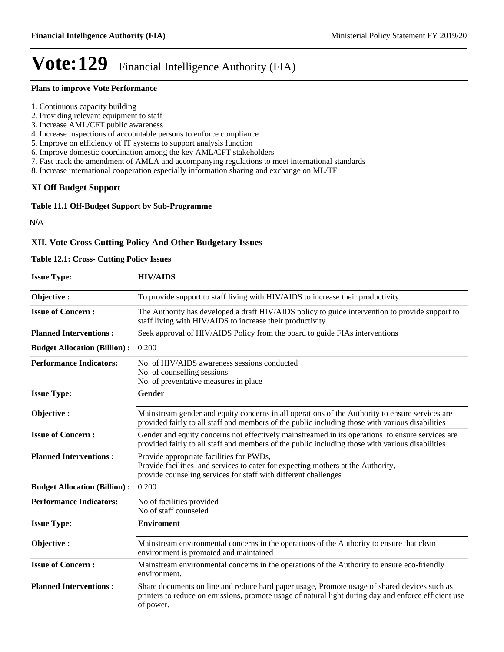#### **Plans to improve Vote Performance**

- 1. Continuous capacity building
- 2. Providing relevant equipment to staff
- 3. Increase AML/CFT public awareness
- 4. Increase inspections of accountable persons to enforce compliance
- 5. Improve on efficiency of IT systems to support analysis function
- 6. Improve domestic coordination among the key AML/CFT stakeholders
- 7. Fast track the amendment of AMLA and accompanying regulations to meet international standards
- 8. Increase international cooperation especially information sharing and exchange on ML/TF

#### **XI Off Budget Support**

#### **Table 11.1 Off-Budget Support by Sub-Programme**

N/A

#### **XII. Vote Cross Cutting Policy And Other Budgetary Issues**

#### **Table 12.1: Cross- Cutting Policy Issues**

|                    | <b>HIV/AIDS</b> |
|--------------------|-----------------|
| <b>Issue Type:</b> |                 |

| Objective:                          | To provide support to staff living with HIV/AIDS to increase their productivity                                                                                                                                   |
|-------------------------------------|-------------------------------------------------------------------------------------------------------------------------------------------------------------------------------------------------------------------|
| <b>Issue of Concern:</b>            | The Authority has developed a draft HIV/AIDS policy to guide intervention to provide support to<br>staff living with HIV/AIDS to increase their productivity                                                      |
| <b>Planned Interventions:</b>       | Seek approval of HIV/AIDS Policy from the board to guide FIAs interventions                                                                                                                                       |
| <b>Budget Allocation (Billion):</b> | 0.200                                                                                                                                                                                                             |
| <b>Performance Indicators:</b>      | No. of HIV/AIDS awareness sessions conducted<br>No. of counselling sessions<br>No. of preventative measures in place                                                                                              |
| <b>Issue Type:</b>                  | Gender                                                                                                                                                                                                            |
| Objective:                          | Mainstream gender and equity concerns in all operations of the Authority to ensure services are<br>provided fairly to all staff and members of the public including those with various disabilities               |
| <b>Issue of Concern:</b>            | Gender and equity concerns not effectively mainstreamed in its operations to ensure services are<br>provided fairly to all staff and members of the public including those with various disabilities              |
| <b>Planned Interventions:</b>       | Provide appropriate facilities for PWDs,<br>Provide facilities and services to cater for expecting mothers at the Authority,<br>provide counseling services for staff with different challenges                   |
| <b>Budget Allocation (Billion):</b> | 0.200                                                                                                                                                                                                             |
| <b>Performance Indicators:</b>      | No of facilities provided<br>No of staff counseled                                                                                                                                                                |
| <b>Issue Type:</b>                  | <b>Enviroment</b>                                                                                                                                                                                                 |
| Objective:                          | Mainstream environmental concerns in the operations of the Authority to ensure that clean<br>environment is promoted and maintained                                                                               |
| <b>Issue of Concern:</b>            | Mainstream environmental concerns in the operations of the Authority to ensure eco-friendly<br>environment.                                                                                                       |
| <b>Planned Interventions:</b>       | Share documents on line and reduce hard paper usage, Promote usage of shared devices such as<br>printers to reduce on emissions, promote usage of natural light during day and enforce efficient use<br>of power. |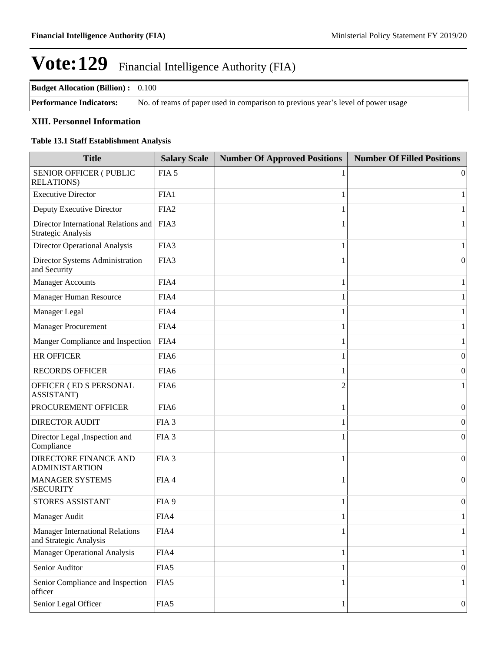#### **Budget Allocation (Billion) :** 0.100

**Performance Indicators:** No. of reams of paper used in comparison to previous year's level of power usage

#### **XIII. Personnel Information**

#### **Table 13.1 Staff Establishment Analysis**

| <b>Title</b>                                                      | <b>Salary Scale</b> | <b>Number Of Approved Positions</b> | <b>Number Of Filled Positions</b> |
|-------------------------------------------------------------------|---------------------|-------------------------------------|-----------------------------------|
| SENIOR OFFICER (PUBLIC<br><b>RELATIONS</b> )                      | FIA 5               |                                     | $\theta$                          |
| <b>Executive Director</b>                                         | FIA1                |                                     | 1                                 |
| Deputy Executive Director                                         | FIA <sub>2</sub>    |                                     | 1                                 |
| Director International Relations and<br><b>Strategic Analysis</b> | FIA3                |                                     | 1                                 |
| <b>Director Operational Analysis</b>                              | FIA3                |                                     | 1                                 |
| Director Systems Administration<br>and Security                   | FIA3                |                                     | $\boldsymbol{0}$                  |
| <b>Manager Accounts</b>                                           | FIA4                |                                     |                                   |
| Manager Human Resource                                            | FIA4                |                                     |                                   |
| Manager Legal                                                     | FIA4                |                                     |                                   |
| <b>Manager Procurement</b>                                        | FIA4                |                                     |                                   |
| Manger Compliance and Inspection                                  | FIA4                |                                     | 1                                 |
| <b>HR OFFICER</b>                                                 | FIA <sub>6</sub>    |                                     | $\theta$                          |
| <b>RECORDS OFFICER</b>                                            | FIA <sub>6</sub>    |                                     | $\theta$                          |
| OFFICER (ED S PERSONAL<br>ASSISTANT)                              | FIA <sub>6</sub>    | 2                                   | 1                                 |
| PROCUREMENT OFFICER                                               | FIA <sub>6</sub>    |                                     | $\boldsymbol{0}$                  |
| <b>DIRECTOR AUDIT</b>                                             | FIA <sub>3</sub>    |                                     | $\boldsymbol{0}$                  |
| Director Legal , Inspection and<br>Compliance                     | FIA <sub>3</sub>    |                                     | $\boldsymbol{0}$                  |
| <b>DIRECTORE FINANCE AND</b><br><b>ADMINISTARTION</b>             | FIA <sub>3</sub>    |                                     | $\boldsymbol{0}$                  |
| <b>MANAGER SYSTEMS</b><br>/SECURITY                               | FIA4                |                                     | $\Omega$                          |
| STORES ASSISTANT                                                  | FIA <sub>9</sub>    |                                     | $\boldsymbol{0}$                  |
| Manager Audit                                                     | FIA4                |                                     | $\mathbf{1}$                      |
| <b>Manager International Relations</b><br>and Strategic Analysis  | FIA4                | 1                                   | $\mathbf{1}$                      |
| <b>Manager Operational Analysis</b>                               | FIA4                | 1                                   | $\mathbf{1}$                      |
| Senior Auditor                                                    | FIA5                |                                     | $\boldsymbol{0}$                  |
| Senior Compliance and Inspection<br>officer                       | FIA5                |                                     | 1                                 |
| Senior Legal Officer                                              | FIA5                |                                     | $\vert 0 \vert$                   |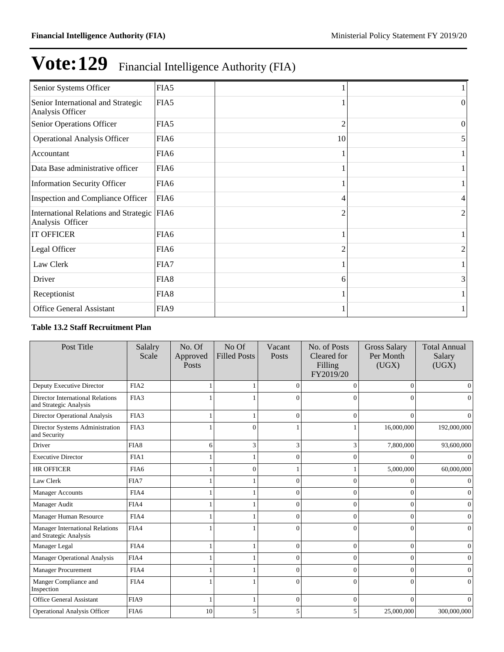| Senior Systems Officer                                           | FIA5             |                |                |
|------------------------------------------------------------------|------------------|----------------|----------------|
| Senior International and Strategic<br>Analysis Officer           | FIA5             |                | 0              |
| Senior Operations Officer                                        | FIA5             | 2              | $\theta$       |
| <b>Operational Analysis Officer</b>                              | FIA <sub>6</sub> | 10             | $\mathfrak{S}$ |
| Accountant                                                       | FIA6             |                |                |
| Data Base administrative officer                                 | FIA <sub>6</sub> |                |                |
| <b>Information Security Officer</b>                              | FIA6             |                |                |
| Inspection and Compliance Officer                                | FIA <sub>6</sub> | 4              | 4              |
| International Relations and Strategic   FIA6<br>Analysis Officer |                  | $\mathfrak{D}$ | $\overline{2}$ |
| <b>IT OFFICER</b>                                                | FIA <sub>6</sub> |                |                |
| Legal Officer                                                    | FIA6             | 2              | 2              |
| Law Clerk                                                        | FIA7             |                |                |
| Driver                                                           | FIA8             | 6              | 3              |
| Receptionist                                                     | FIA8             |                |                |
| <b>Office General Assistant</b>                                  | FIA9             |                |                |

#### **Table 13.2 Staff Recruitment Plan**

| Post Title                                                       | Salalry<br>Scale | No. Of<br>Approved<br>Posts | No Of<br><b>Filled Posts</b> | Vacant<br>Posts | No. of Posts<br>Cleared for<br>Filling<br>FY2019/20 | <b>Gross Salary</b><br>Per Month<br>(UGX) | <b>Total Annual</b><br>Salary<br>(UGX) |
|------------------------------------------------------------------|------------------|-----------------------------|------------------------------|-----------------|-----------------------------------------------------|-------------------------------------------|----------------------------------------|
| Deputy Executive Director                                        | FIA2             |                             |                              | $\theta$        | $\Omega$                                            | $\Omega$                                  |                                        |
| Director International Relations<br>and Strategic Analysis       | FIA3             |                             |                              | $\Omega$        |                                                     | $\Omega$                                  |                                        |
| <b>Director Operational Analysis</b>                             | FIA3             |                             |                              | $\Omega$        | $\Omega$                                            | $\Omega$                                  | 0                                      |
| Director Systems Administration<br>and Security                  | FIA3             |                             |                              |                 |                                                     | 16,000,000                                | 192,000,000                            |
| Driver                                                           | FIA8             | 6                           | 3                            | 3               | 3                                                   | 7,800,000                                 | 93,600,000                             |
| <b>Executive Director</b>                                        | FIA1             |                             |                              |                 |                                                     | $\Omega$                                  |                                        |
| <b>HR OFFICER</b>                                                | FIA6             |                             |                              |                 |                                                     | 5,000,000                                 | 60,000,000                             |
| Law Clerk                                                        | FIA7             |                             |                              | $\overline{0}$  | $\Omega$                                            | $\overline{0}$                            | 0                                      |
| <b>Manager Accounts</b>                                          | FIA4             |                             |                              | $\Omega$        | $\Omega$                                            | $\Omega$                                  |                                        |
| Manager Audit                                                    | FIA4             |                             |                              | $\Omega$        | $\Omega$                                            | $\Omega$                                  | $\Omega$                               |
| Manager Human Resource                                           | FIA4             |                             |                              | $\Omega$        | $\Omega$                                            | $\Omega$                                  | 0                                      |
| <b>Manager International Relations</b><br>and Strategic Analysis | FIA4             |                             |                              | $\Omega$        | $\Omega$                                            | $\Omega$                                  | $\Omega$                               |
| Manager Legal                                                    | FIA4             |                             |                              | $\Omega$        | $\Omega$                                            | $\Omega$                                  | 0                                      |
| <b>Manager Operational Analysis</b>                              | FIA4             |                             |                              | $\Omega$        | $\Omega$                                            | $\overline{0}$                            | $\Omega$                               |
| <b>Manager Procurement</b>                                       | FIA4             |                             |                              | $\theta$        | $\Omega$                                            | $\Omega$                                  | 0                                      |
| Manger Compliance and<br>Inspection                              | FIA4             |                             |                              | $\Omega$        | $\Omega$                                            | $\Omega$                                  |                                        |
| <b>Office General Assistant</b>                                  | FIA9             |                             |                              | $\Omega$        | $\Omega$                                            | $\Omega$                                  | $\Omega$                               |
| <b>Operational Analysis Officer</b>                              | FIA6             | 10                          | 5                            | 5               | 5                                                   | 25,000,000                                | 300,000,000                            |